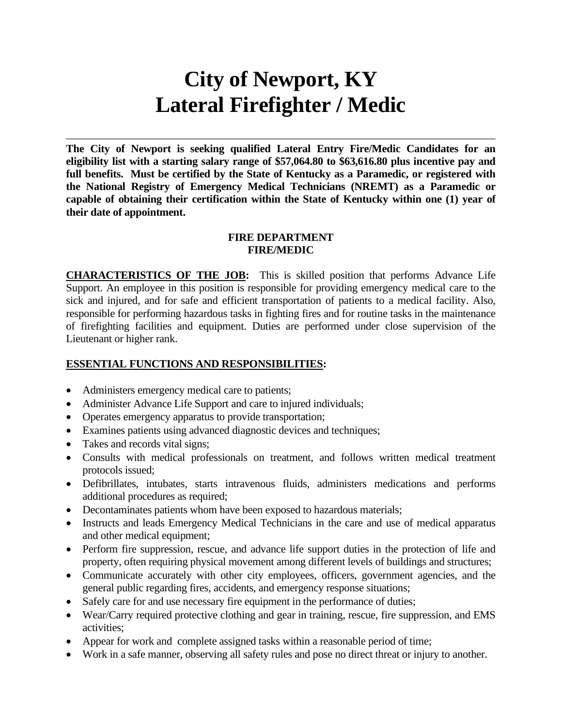# **City of Newport, KY Lateral Firefighter / Medic**

**The City of Newport is seeking qualified Lateral Entry Fire/Medic Candidates for an eligibility list with a starting salary range of \$57,064.80 to \$63,616.80 plus incentive pay and full benefits. Must be certified by the State of Kentucky as a Paramedic, or registered with the National Registry of Emergency Medical Technicians (NREMT) as a Paramedic or capable of obtaining their certification within the State of Kentucky within one (1) year of their date of appointment.** 

#### **FIRE DEPARTMENT FIRE/MEDIC**

**CHARACTERISTICS OF THE JOB:** This is skilled position that performs Advance Life Support. An employee in this position is responsible for providing emergency medical care to the sick and injured, and for safe and efficient transportation of patients to a medical facility. Also, responsible for performing hazardous tasks in fighting fires and for routine tasks in the maintenance of firefighting facilities and equipment. Duties are performed under close supervision of the Lieutenant or higher rank.

#### **ESSENTIAL FUNCTIONS AND RESPONSIBILITIES:**

- Administers emergency medical care to patients;
- Administer Advance Life Support and care to injured individuals;
- Operates emergency apparatus to provide transportation;
- Examines patients using advanced diagnostic devices and techniques;
- Takes and records vital signs;
- Consults with medical professionals on treatment, and follows written medical treatment protocols issued;
- Defibrillates, intubates, starts intravenous fluids, administers medications and performs additional procedures as required;
- Decontaminates patients whom have been exposed to hazardous materials;
- Instructs and leads Emergency Medical Technicians in the care and use of medical apparatus and other medical equipment;
- Perform fire suppression, rescue, and advance life support duties in the protection of life and property, often requiring physical movement among different levels of buildings and structures;
- Communicate accurately with other city employees, officers, government agencies, and the general public regarding fires, accidents, and emergency response situations;
- Safely care for and use necessary fire equipment in the performance of duties;
- Wear/Carry required protective clothing and gear in training, rescue, fire suppression, and EMS activities;
- Appear for work and complete assigned tasks within a reasonable period of time;
- Work in a safe manner, observing all safety rules and pose no direct threat or injury to another.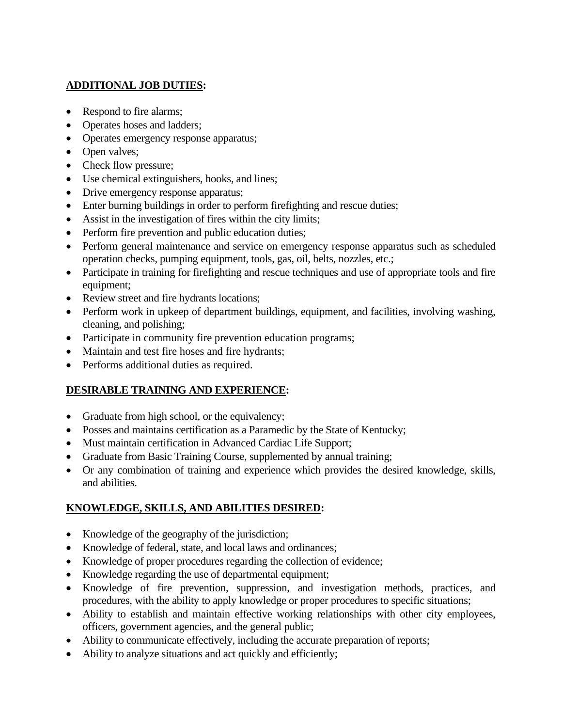## **ADDITIONAL JOB DUTIES:**

- Respond to fire alarms;
- Operates hoses and ladders;
- Operates emergency response apparatus;
- Open valves;
- Check flow pressure;
- Use chemical extinguishers, hooks, and lines;
- Drive emergency response apparatus;
- Enter burning buildings in order to perform firefighting and rescue duties;
- Assist in the investigation of fires within the city limits;
- Perform fire prevention and public education duties;
- Perform general maintenance and service on emergency response apparatus such as scheduled operation checks, pumping equipment, tools, gas, oil, belts, nozzles, etc.;
- Participate in training for firefighting and rescue techniques and use of appropriate tools and fire equipment;
- Review street and fire hydrants locations;
- Perform work in upkeep of department buildings, equipment, and facilities, involving washing, cleaning, and polishing;
- Participate in community fire prevention education programs;
- Maintain and test fire hoses and fire hydrants;
- Performs additional duties as required.

## **DESIRABLE TRAINING AND EXPERIENCE:**

- Graduate from high school, or the equivalency;
- Posses and maintains certification as a Paramedic by the State of Kentucky;
- Must maintain certification in Advanced Cardiac Life Support;
- Graduate from Basic Training Course, supplemented by annual training;
- Or any combination of training and experience which provides the desired knowledge, skills, and abilities.

# **KNOWLEDGE, SKILLS, AND ABILITIES DESIRED:**

- Knowledge of the geography of the jurisdiction;
- Knowledge of federal, state, and local laws and ordinances;
- Knowledge of proper procedures regarding the collection of evidence;
- Knowledge regarding the use of departmental equipment;
- Knowledge of fire prevention, suppression, and investigation methods, practices, and procedures, with the ability to apply knowledge or proper procedures to specific situations;
- Ability to establish and maintain effective working relationships with other city employees, officers, government agencies, and the general public;
- Ability to communicate effectively, including the accurate preparation of reports;
- Ability to analyze situations and act quickly and efficiently;